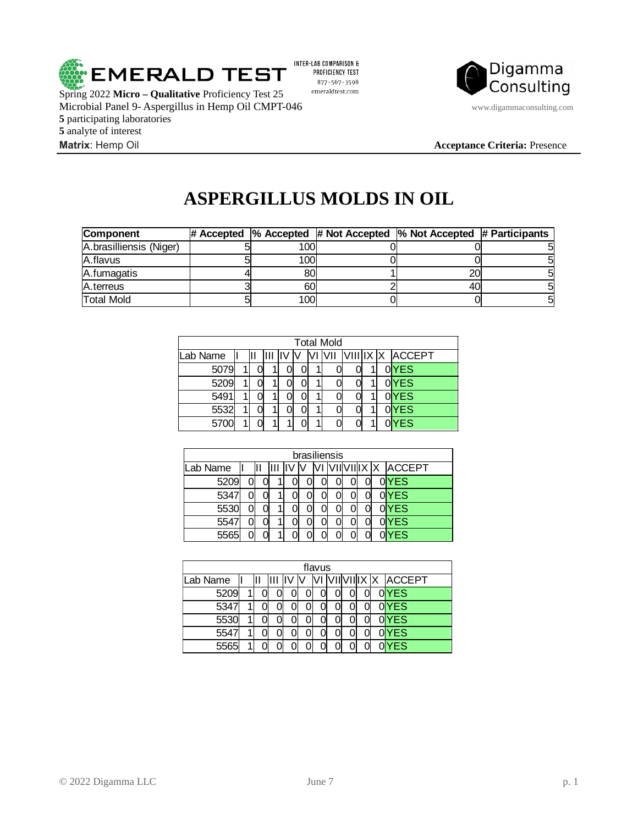

**5** participating laboratories **5** analyte of interest

INTER-LAB COMPARISON & PROFICIENCY TEST 877-567-3598 emeraldtest.com



**Matrix**: Hemp Oil **Acceptance Criteria:** Presence

## **ASPERGILLUS MOLDS IN OIL**

| Component               |      | # Accepted $\,$  % Accepted $\,$ # Not Accepted $\,$  % Not Accepted $\,$ # Participants |  |
|-------------------------|------|------------------------------------------------------------------------------------------|--|
| A.brasilliensis (Niger) | 100l |                                                                                          |  |
| A.flavus                | 100l |                                                                                          |  |
| A.fumagatis             | 80   | 20                                                                                       |  |
| <b>A</b> .terreus       | 60   | 40                                                                                       |  |
| <b>Total Mold</b>       | 100l |                                                                                          |  |

| <b>Total Mold</b> |   |  |  |  |  |  |       |  |  |  |                    |  |  |
|-------------------|---|--|--|--|--|--|-------|--|--|--|--------------------|--|--|
| Lab Name          |   |  |  |  |  |  | lv/II |  |  |  | VIII IX  X  ACCEPT |  |  |
| 5079              |   |  |  |  |  |  |       |  |  |  | 0YES               |  |  |
| 5209              | 1 |  |  |  |  |  |       |  |  |  | 0YES               |  |  |
| 5491              |   |  |  |  |  |  |       |  |  |  | 0YES               |  |  |
| 5532              |   |  |  |  |  |  |       |  |  |  | 0YES               |  |  |
| 5700              |   |  |  |  |  |  |       |  |  |  | YES                |  |  |

| brasiliensis |  |  |  |  |  |  |  |  |  |  |                   |  |
|--------------|--|--|--|--|--|--|--|--|--|--|-------------------|--|
| Lab Name     |  |  |  |  |  |  |  |  |  |  | VIIVIIIX X ACCEPT |  |
| 5209         |  |  |  |  |  |  |  |  |  |  | $0$ YES           |  |
| 5347         |  |  |  |  |  |  |  |  |  |  | 0YES              |  |
| 5530         |  |  |  |  |  |  |  |  |  |  | $0$ YES           |  |
| 5547         |  |  |  |  |  |  |  |  |  |  | $0$ YES           |  |
| 5565         |  |  |  |  |  |  |  |  |  |  | <b>YES</b>        |  |

| flavus   |  |  |  |  |  |  |  |  |  |  |                        |  |  |
|----------|--|--|--|--|--|--|--|--|--|--|------------------------|--|--|
| Lab Name |  |  |  |  |  |  |  |  |  |  | /II VII IX  X   ACCEPT |  |  |
| 5209     |  |  |  |  |  |  |  |  |  |  | 0YES                   |  |  |
| 5347     |  |  |  |  |  |  |  |  |  |  | 0YES                   |  |  |
| 5530     |  |  |  |  |  |  |  |  |  |  | $0$ YES                |  |  |
| 554      |  |  |  |  |  |  |  |  |  |  | 0YES                   |  |  |
| 5565     |  |  |  |  |  |  |  |  |  |  | <b>YES</b>             |  |  |